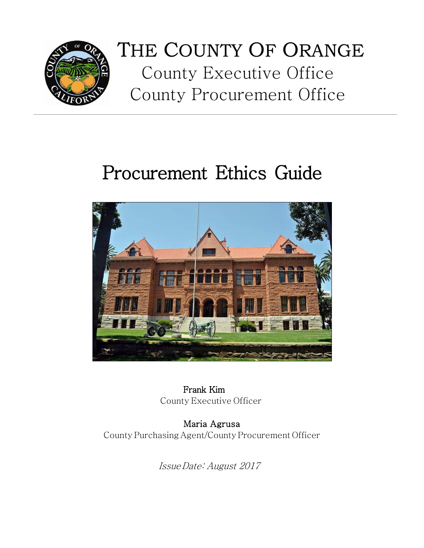

## THE COUNTY OF ORANGE County Executive Office County Procurement Office

# Procurement Ethics Guide



Frank Kim County Executive Officer

Maria Agrusa CountyPurchasing Agent/CountyProcurement Officer

IssueDate: August 2017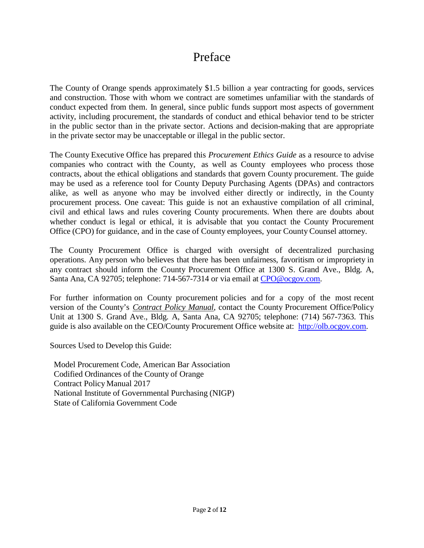## Preface

The County of Orange spends approximately \$1.5 billion a year contracting for goods, services and construction. Those with whom we contract are sometimes unfamiliar with the standards of conduct expected from them. In general, since public funds support most aspects of government activity, including procurement, the standards of conduct and ethical behavior tend to be stricter in the public sector than in the private sector. Actions and decision-making that are appropriate in the private sector may be unacceptable or illegal in the public sector.

The County Executive Office has prepared this *Procurement Ethics Guide* as a resource to advise companies who contract with the County, as well as County employees who process those contracts, about the ethical obligations and standards that govern County procurement. The guide may be used as a reference tool for County Deputy Purchasing Agents (DPAs) and contractors alike, as well as anyone who may be involved either directly or indirectly, in the County procurement process. One caveat: This guide is not an exhaustive compilation of all criminal, civil and ethical laws and rules covering County procurements. When there are doubts about whether conduct is legal or ethical, it is advisable that you contact the County Procurement Office (CPO) for guidance, and in the case of County employees, your County Counsel attorney.

The County Procurement Office is charged with oversight of decentralized purchasing operations. Any person who believes that there has been unfairness, favoritism or impropriety in any contract should inform the County Procurement Office at 1300 S. Grand Ave., Bldg. A, Santa Ana, CA 92705; telephone: 714-567-7314 or via email at [CPO@ocgov.com.](mailto:CPO@ocgov.com)

For further information on County procurement policies and for a copy of the most recent version of the County's *Contract Policy Manual*, contact the County Procurement Office/Policy Unit at 1300 S. Grand Ave., Bldg. A, Santa Ana, CA 92705; telephone: (714) 567-7363. This guide is also available on the CEO/County Procurement Office website at: [http://olb.ocgov.com.](http://olb.ocgov.com/)

Sources Used to Develop this Guide:

Model Procurement Code, American Bar Association Codified Ordinances of the County of Orange Contract Policy Manual 2017 National Institute of Governmental Purchasing (NIGP) State of California Government Code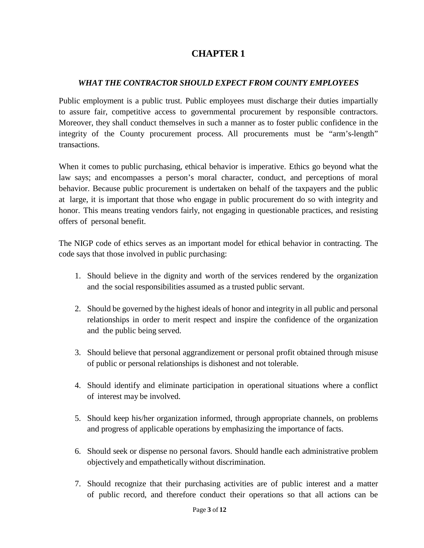## **CHAPTER 1**

#### *WHAT THE CONTRACTOR SHOULD EXPECT FROM COUNTY EMPLOYEES*

Public employment is a public trust. Public employees must discharge their duties impartially to assure fair, competitive access to governmental procurement by responsible contractors. Moreover, they shall conduct themselves in such a manner as to foster public confidence in the integrity of the County procurement process. All procurements must be "arm's-length" transactions.

When it comes to public purchasing, ethical behavior is imperative. Ethics go beyond what the law says; and encompasses a person's moral character, conduct, and perceptions of moral behavior. Because public procurement is undertaken on behalf of the taxpayers and the public at large, it is important that those who engage in public procurement do so with integrity and honor. This means treating vendors fairly, not engaging in questionable practices, and resisting offers of personal benefit.

The NIGP code of ethics serves as an important model for ethical behavior in contracting. The code says that those involved in public purchasing:

- 1. Should believe in the dignity and worth of the services rendered by the organization and the social responsibilities assumed as a trusted public servant.
- 2. Should be governed by the highest ideals of honor and integrity in all public and personal relationships in order to merit respect and inspire the confidence of the organization and the public being served.
- 3. Should believe that personal aggrandizement or personal profit obtained through misuse of public or personal relationships is dishonest and not tolerable.
- 4. Should identify and eliminate participation in operational situations where a conflict of interest may be involved.
- 5. Should keep his/her organization informed, through appropriate channels, on problems and progress of applicable operations by emphasizing the importance of facts.
- 6. Should seek or dispense no personal favors. Should handle each administrative problem objectively and empathetically without discrimination.
- 7. Should recognize that their purchasing activities are of public interest and a matter of public record, and therefore conduct their operations so that all actions can be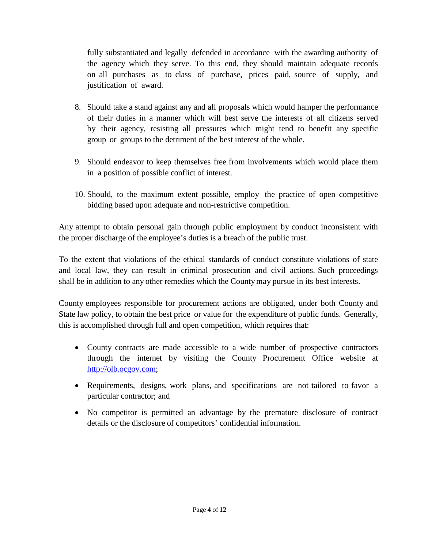fully substantiated and legally defended in accordance with the awarding authority of the agency which they serve. To this end, they should maintain adequate records on all purchases as to class of purchase, prices paid, source of supply, and justification of award.

- 8. Should take a stand against any and all proposals which would hamper the performance of their duties in a manner which will best serve the interests of all citizens served by their agency, resisting all pressures which might tend to benefit any specific group or groups to the detriment of the best interest of the whole.
- 9. Should endeavor to keep themselves free from involvements which would place them in a position of possible conflict of interest.
- 10. Should, to the maximum extent possible, employ the practice of open competitive bidding based upon adequate and non-restrictive competition.

Any attempt to obtain personal gain through public employment by conduct inconsistent with the proper discharge of the employee's duties is a breach of the public trust.

To the extent that violations of the ethical standards of conduct constitute violations of state and local law, they can result in criminal prosecution and civil actions. Such proceedings shall be in addition to any other remedies which the Countymay pursue in its best interests.

County employees responsible for procurement actions are obligated, under both County and State law policy, to obtain the best price or value for the expenditure of public funds. Generally, this is accomplished through full and open competition, which requires that:

- County contracts are made accessible to a wide number of prospective contractors through the internet by visiting the County Procurement Office website at [http://olb.ocgov.com;](http://www.ocgov.com/)
- Requirements, designs, work plans, and specifications are not tailored to favor a particular contractor; and
- No competitor is permitted an advantage by the premature disclosure of contract details or the disclosure of competitors' confidential information.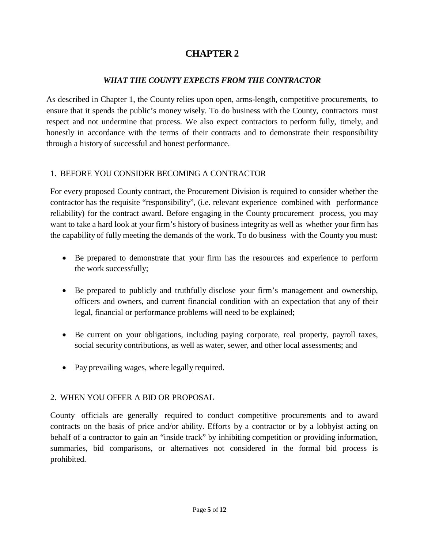## **CHAPTER 2**

#### *WHAT THE COUNTY EXPECTS FROM THE CONTRACTOR*

As described in Chapter 1, the County relies upon open, arms-length, competitive procurements, to ensure that it spends the public's money wisely. To do business with the County, contractors must respect and not undermine that process. We also expect contractors to perform fully, timely, and honestly in accordance with the terms of their contracts and to demonstrate their responsibility through a history of successful and honest performance.

#### 1. BEFORE YOU CONSIDER BECOMING A CONTRACTOR

For every proposed County contract, the Procurement Division is required to consider whether the contractor has the requisite "responsibility", (i.e. relevant experience combined with performance reliability) for the contract award. Before engaging in the County procurement process, you may want to take a hard look at your firm's history of business integrity as well as whether your firm has the capability of fully meeting the demands of the work. To do business with the County you must:

- Be prepared to demonstrate that your firm has the resources and experience to perform the work successfully;
- Be prepared to publicly and truthfully disclose your firm's management and ownership, officers and owners, and current financial condition with an expectation that any of their legal, financial or performance problems will need to be explained;
- Be current on your obligations, including paying corporate, real property, payroll taxes, social security contributions, as well as water, sewer, and other local assessments; and
- Pay prevailing wages, where legally required.

#### 2. WHEN YOU OFFER A BID OR PROPOSAL

County officials are generally required to conduct competitive procurements and to award contracts on the basis of price and/or ability. Efforts by a contractor or by a lobbyist acting on behalf of a contractor to gain an "inside track" by inhibiting competition or providing information, summaries, bid comparisons, or alternatives not considered in the formal bid process is prohibited.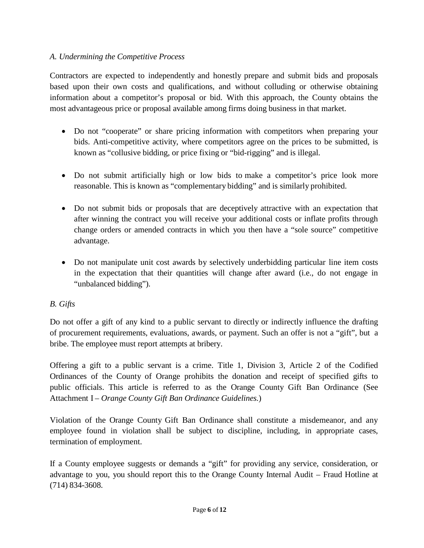#### *A. Undermining the Competitive Process*

Contractors are expected to independently and honestly prepare and submit bids and proposals based upon their own costs and qualifications, and without colluding or otherwise obtaining information about a competitor's proposal or bid. With this approach, the County obtains the most advantageous price or proposal available among firms doing business in that market.

- Do not "cooperate" or share pricing information with competitors when preparing your bids. Anti-competitive activity, where competitors agree on the prices to be submitted, is known as "collusive bidding, or price fixing or "bid-rigging" and is illegal.
- Do not submit artificially high or low bids to make a competitor's price look more reasonable. This is known as "complementary bidding" and is similarly prohibited.
- Do not submit bids or proposals that are deceptively attractive with an expectation that after winning the contract you will receive your additional costs or inflate profits through change orders or amended contracts in which you then have a "sole source" competitive advantage.
- Do not manipulate unit cost awards by selectively underbidding particular line item costs in the expectation that their quantities will change after award (i.e., do not engage in "unbalanced bidding").

#### *B. Gifts*

Do not offer a gift of any kind to a public servant to directly or indirectly influence the drafting of procurement requirements, evaluations, awards, or payment. Such an offer is not a "gift", but a bribe. The employee must report attempts at bribery.

Offering a gift to a public servant is a crime. Title 1, Division 3, Article 2 of the Codified Ordinances of the County of Orange prohibits the donation and receipt of specified gifts to public officials. This article is referred to as the Orange County Gift Ban Ordinance (See Attachment I – *Orange County Gift Ban Ordinance Guidelines.*)

Violation of the Orange County Gift Ban Ordinance shall constitute a misdemeanor, and any employee found in violation shall be subject to discipline, including, in appropriate cases, termination of employment.

If a County employee suggests or demands a "gift" for providing any service, consideration, or advantage to you, you should report this to the Orange County Internal Audit – Fraud Hotline at (714) 834-3608.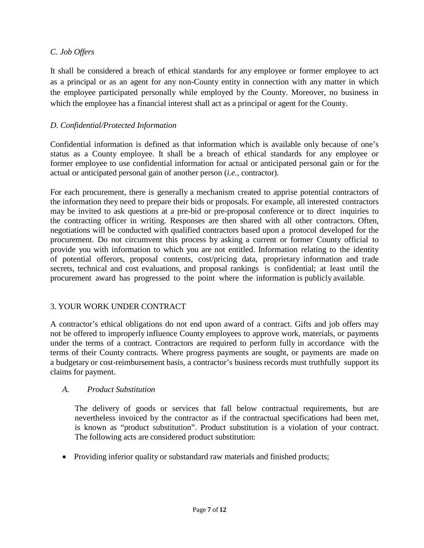#### *C. Job Offers*

It shall be considered a breach of ethical standards for any employee or former employee to act as a principal or as an agent for any non-County entity in connection with any matter in which the employee participated personally while employed by the County. Moreover, no business in which the employee has a financial interest shall act as a principal or agent for the County.

#### *D. Confidential/Protected Information*

Confidential information is defined as that information which is available only because of one's status as a County employee. It shall be a breach of ethical standards for any employee or former employee to use confidential information for actual or anticipated personal gain or for the actual or anticipated personal gain of another person (*i.e.,* contractor).

For each procurement, there is generally a mechanism created to apprise potential contractors of the information they need to prepare their bids or proposals. For example, all interested contractors may be invited to ask questions at a pre-bid or pre-proposal conference or to direct inquiries to the contracting officer in writing. Responses are then shared with all other contractors. Often, negotiations will be conducted with qualified contractors based upon a protocol developed for the procurement. Do not circumvent this process by asking a current or former County official to provide you with information to which you are not entitled. Information relating to the identity of potential offerors, proposal contents, cost/pricing data, proprietary information and trade secrets, technical and cost evaluations, and proposal rankings is confidential; at least until the procurement award has progressed to the point where the information is publicly available.

#### 3. YOUR WORK UNDER CONTRACT

A contractor's ethical obligations do not end upon award of a contract. Gifts and job offers may not be offered to improperly influence County employees to approve work, materials, or payments under the terms of a contract. Contractors are required to perform fully in accordance with the terms of their County contracts. Where progress payments are sought, or payments are made on a budgetary or cost-reimbursement basis, a contractor's business records must truthfully support its claims for payment.

#### *A. Product Substitution*

The delivery of goods or services that fall below contractual requirements, but are nevertheless invoiced by the contractor as if the contractual specifications had been met, is known as "product substitution". Product substitution is a violation of your contract. The following acts are considered product substitution:

• Providing inferior quality or substandard raw materials and finished products;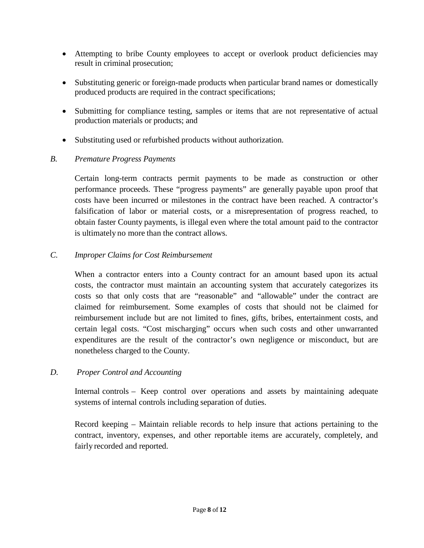- Attempting to bribe County employees to accept or overlook product deficiencies may result in criminal prosecution;
- Substituting generic or foreign-made products when particular brand names or domestically produced products are required in the contract specifications;
- Submitting for compliance testing, samples or items that are not representative of actual production materials or products; and
- Substituting used or refurbished products without authorization.

#### *B. Premature Progress Payments*

Certain long-term contracts permit payments to be made as construction or other performance proceeds. These "progress payments" are generally payable upon proof that costs have been incurred or milestones in the contract have been reached. A contractor's falsification of labor or material costs, or a misrepresentation of progress reached, to obtain faster County payments, is illegal even where the total amount paid to the contractor is ultimately no more than the contract allows.

#### *C. Improper Claims for Cost Reimbursement*

When a contractor enters into a County contract for an amount based upon its actual costs, the contractor must maintain an accounting system that accurately categorizes its costs so that only costs that are "reasonable" and "allowable" under the contract are claimed for reimbursement. Some examples of costs that should not be claimed for reimbursement include but are not limited to fines, gifts, bribes, entertainment costs, and certain legal costs. "Cost mischarging" occurs when such costs and other unwarranted expenditures are the result of the contractor's own negligence or misconduct, but are nonetheless charged to the County.

#### *D. Proper Control and Accounting*

Internal controls – Keep control over operations and assets by maintaining adequate systems of internal controls including separation of duties.

Record keeping – Maintain reliable records to help insure that actions pertaining to the contract, inventory, expenses, and other reportable items are accurately, completely, and fairly recorded and reported.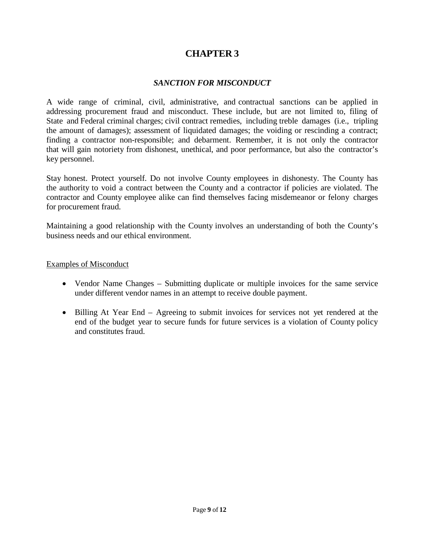## **CHAPTER 3**

#### *SANCTION FOR MISCONDUCT*

A wide range of criminal, civil, administrative, and contractual sanctions can be applied in addressing procurement fraud and misconduct. These include, but are not limited to, filing of State and Federal criminal charges; civil contract remedies, including treble damages (i.e., tripling the amount of damages); assessment of liquidated damages; the voiding or rescinding a contract; finding a contractor non-responsible; and debarment. Remember, it is not only the contractor that will gain notoriety from dishonest, unethical, and poor performance, but also the contractor's key personnel.

Stay honest. Protect yourself. Do not involve County employees in dishonesty. The County has the authority to void a contract between the County and a contractor if policies are violated. The contractor and County employee alike can find themselves facing misdemeanor or felony charges for procurement fraud.

Maintaining a good relationship with the County involves an understanding of both the County's business needs and our ethical environment.

#### Examples of Misconduct

- Vendor Name Changes Submitting duplicate or multiple invoices for the same service under different vendor names in an attempt to receive double payment.
- Billing At Year End Agreeing to submit invoices for services not yet rendered at the end of the budget year to secure funds for future services is a violation of County policy and constitutes fraud.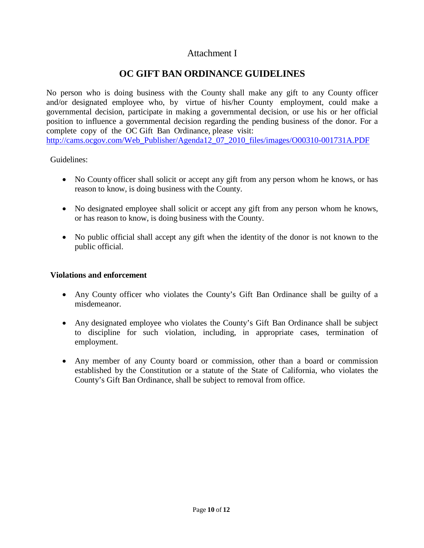### Attachment I

## **OC GIFT BAN ORDINANCE GUIDELINES**

No person who is doing business with the County shall make any gift to any County officer and/or designated employee who, by virtue of his/her County employment, could make a governmental decision, participate in making a governmental decision, or use his or her official position to influence a governmental decision regarding the pending business of the donor. For a complete copy of the OC Gift Ban Ordinance, please visit: [http://cams.ocgov.com/Web\\_Publisher/Agenda12\\_07\\_2010\\_files/images/O00310-001731A.PDF](http://cams.ocgov.com/Web_Publisher/Agenda12_07_2010_files/images/O00310-001731A.PDF)

Guidelines:

- No County officer shall solicit or accept any gift from any person whom he knows, or has reason to know, is doing business with the County.
- No designated employee shall solicit or accept any gift from any person whom he knows, or has reason to know, is doing business with the County.
- No public official shall accept any gift when the identity of the donor is not known to the public official.

#### **Violations and enforcement**

- Any County officer who violates the County's Gift Ban Ordinance shall be guilty of a misdemeanor.
- Any designated employee who violates the County's Gift Ban Ordinance shall be subject to discipline for such violation, including, in appropriate cases, termination of employment.
- Any member of any County board or commission, other than a board or commission established by the Constitution or a statute of the State of California, who violates the County's Gift Ban Ordinance, shall be subject to removal from office.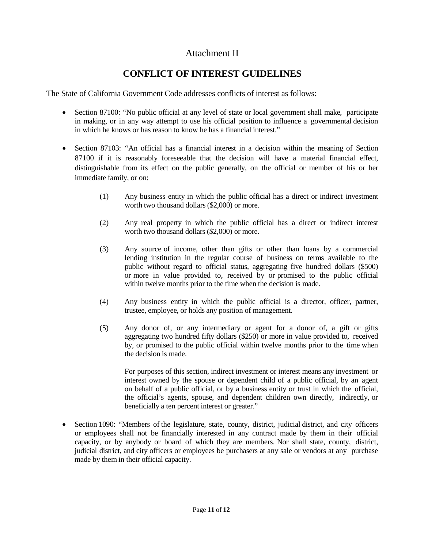### Attachment II

## **CONFLICT OF INTEREST GUIDELINES**

The State of California Government Code addresses conflicts of interest as follows:

- Section 87100: "No public official at any level of state or local government shall make, participate in making, or in any way attempt to use his official position to influence a governmental decision in which he knows or has reason to know he has a financial interest."
- Section 87103: "An official has a financial interest in a decision within the meaning of Section 87100 if it is reasonably foreseeable that the decision will have a material financial effect, distinguishable from its effect on the public generally, on the official or member of his or her immediate family, or on:
	- (1) Any business entity in which the public official has a direct or indirect investment worth two thousand dollars (\$2,000) or more.
	- (2) Any real property in which the public official has a direct or indirect interest worth two thousand dollars (\$2,000) or more.
	- (3) Any source of income, other than gifts or other than loans by a commercial lending institution in the regular course of business on terms available to the public without regard to official status, aggregating five hundred dollars (\$500) or more in value provided to, received by or promised to the public official within twelve months prior to the time when the decision is made.
	- (4) Any business entity in which the public official is a director, officer, partner, trustee, employee, or holds any position of management.
	- (5) Any donor of, or any intermediary or agent for a donor of, a gift or gifts aggregating two hundred fifty dollars (\$250) or more in value provided to, received by, or promised to the public official within twelve months prior to the time when the decision is made.

For purposes of this section, indirect investment or interest means any investment or interest owned by the spouse or dependent child of a public official, by an agent on behalf of a public official, or by a business entity or trust in which the official, the official's agents, spouse, and dependent children own directly, indirectly, or beneficially a ten percent interest or greater."

• Section 1090: "Members of the legislature, state, county, district, judicial district, and city officers or employees shall not be financially interested in any contract made by them in their official capacity, or by anybody or board of which they are members. Nor shall state, county, district, judicial district, and city officers or employees be purchasers at any sale or vendors at any purchase made by them in their official capacity.